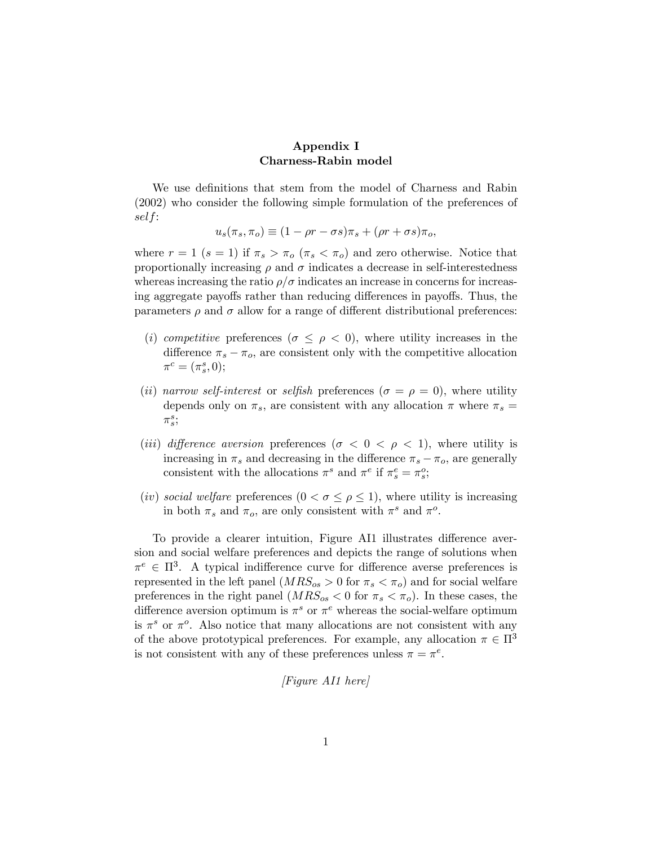## Appendix I Charness-Rabin model

We use definitions that stem from the model of Charness and Rabin (2002) who consider the following simple formulation of the preferences of self:

$$
u_s(\pi_s, \pi_o) \equiv (1 - \rho r - \sigma s)\pi_s + (\rho r + \sigma s)\pi_o,
$$

where  $r = 1$  ( $s = 1$ ) if  $\pi_s > \pi_o$  ( $\pi_s < \pi_o$ ) and zero otherwise. Notice that proportionally increasing  $\rho$  and  $\sigma$  indicates a decrease in self-interestedness whereas increasing the ratio  $\rho/\sigma$  indicates an increase in concerns for increasing aggregate payoffs rather than reducing differences in payoffs. Thus, the parameters  $\rho$  and  $\sigma$  allow for a range of different distributional preferences:

- (i) competitive preferences ( $\sigma \leq \rho < 0$ ), where utility increases in the difference  $\pi_s - \pi_o$ , are consistent only with the competitive allocation  $\pi^c = (\pi^s_s, 0);$
- (ii) narrow self-interest or selfish preferences ( $\sigma = \rho = 0$ ), where utility depends only on  $\pi_s$ , are consistent with any allocation  $\pi$  where  $\pi_s$  =  $\pi_s^s$
- (*iii*) difference aversion preferences ( $\sigma < 0 < \rho < 1$ ), where utility is increasing in  $\pi_s$  and decreasing in the difference  $\pi_s - \pi_o$ , are generally consistent with the allocations  $\pi^s$  and  $\pi^e$  if  $\pi^e_s = \pi^o_s$ ;
- (iv) social welfare preferences  $(0 < \sigma \leq \rho \leq 1)$ , where utility is increasing in both  $\pi_s$  and  $\pi_o$ , are only consistent with  $\pi^s$  and  $\pi^o$ .

To provide a clearer intuition, Figure AI1 illustrates difference aversion and social welfare preferences and depicts the range of solutions when  $\pi^e \in \Pi^3$ . A typical indifference curve for difference averse preferences is represented in the left panel  $(MRS_{os} > 0$  for  $\pi_s < \pi_o$ ) and for social welfare preferences in the right panel  $(MRS_{os} < 0$  for  $\pi_s < \pi_o$ ). In these cases, the difference aversion optimum is  $\pi^s$  or  $\pi^e$  whereas the social-welfare optimum is  $\pi^s$  or  $\pi^o$ . Also notice that many allocations are not consistent with any of the above prototypical preferences. For example, any allocation  $\pi \in \Pi^3$ is not consistent with any of these preferences unless  $\pi = \pi^e$ .

[Figure AI1 here]